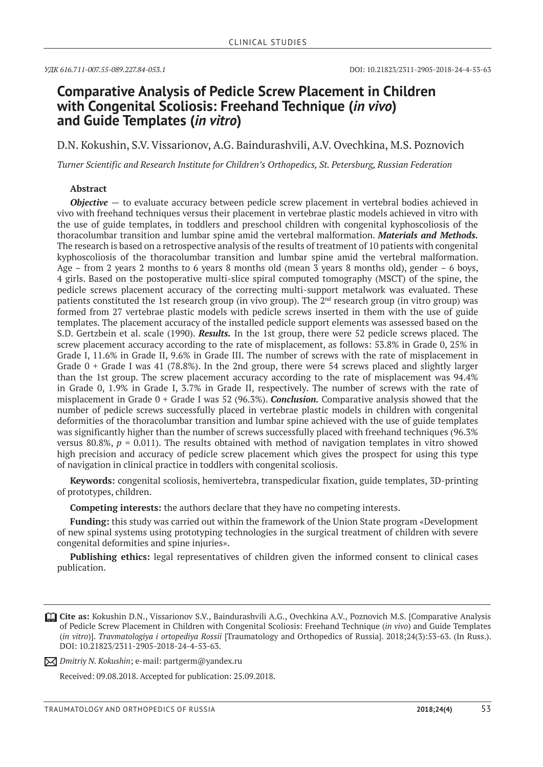# **Comparative Analysis of Pedicle Screw Placement in Children with Congenital Scoliosis: Freehand Technique (***in vivo***) and Guide Templates (***in vitro***)**

D.N. Kokushin, S.V. Vissarionov, A.G. Baindurashvili, A.V. Ovechkina, M.S. Poznovich

*Turner Scientific and Research Institute for Children's Orthopedics, St. Petersburg, Russian Federation*

#### **Abstract**

*Objective* — to evaluate accuracy between pedicle screw placement in vertebral bodies achieved in vivo with freehand techniques versus their placement in vertebrae plastic models achieved in vitro with the use of guide templates, in toddlers and preschool children with congenital kyphoscoliosis of the thoracolumbar transition and lumbar spine amid the vertebral malformation. *Materials and Methods.* The research is based on a retrospective analysis of the results of treatment of 10 patients with congenital kyphoscoliosis of the thoracolumbar transition and lumbar spine amid the vertebral malformation. Age – from 2 years 2 months to 6 years 8 months old (mean 3 years 8 months old), gender – 6 boys, 4 girls. Based on the postoperative multi-slice spiral computed tomography (MSCT) of the spine, the pedicle screws placement accuracy of the correcting multi-support metalwork was evaluated. These patients constituted the 1st research group (in vivo group). The  $2<sup>nd</sup>$  research group (in vitro group) was formed from 27 vertebrae plastic models with pedicle screws inserted in them with the use of guide templates. The placement accuracy of the installed pedicle support elements was assessed based on the S.D. Gertzbein et al. scale (1990). *Results.* In the 1st group, there were 52 pedicle screws placed. The screw placement accuracy according to the rate of misplacement, as follows: 53.8% in Grade 0, 25% in Grade I, 11.6% in Grade II, 9.6% in Grade III. The number of screws with the rate of misplacement in Grade 0 + Grade I was 41 (78.8%). In the 2nd group, there were 54 screws placed and slightly larger than the 1st group. The screw placement accuracy according to the rate of misplacement was 94.4% in Grade 0, 1.9% in Grade I, 3.7% in Grade II, respectively. The number of screws with the rate of misplacement in Grade 0 + Grade I was 52 (96.3%). *Conclusion.* Comparative analysis showed that the number of pedicle screws successfully placed in vertebrae plastic models in children with congenital deformities of the thoracolumbar transition and lumbar spine achieved with the use of guide templates was significantly higher than the number of screws successfully placed with freehand techniques (96.3% versus 80.8%,  $p = 0.011$ ). The results obtained with method of navigation templates in vitro showed high precision and accuracy of pedicle screw placement which gives the prospect for using this type of navigation in clinical practice in toddlers with congenital scoliosis.

**Keywords:** congenital scoliosis, hemivertebra, transpedicular fixation, guide templates, 3D-printing of prototypes, children.

**Competing interests:** the authors declare that they have no competing interests.

**Funding:** this study was carried out within the framework of the Union State program «Development of new spinal systems using prototyping technologies in the surgical treatment of children with severe congenital deformities and spine injuries».

**Publishing ethics:** legal representatives of children given the informed consent to clinical cases publication.

*Dmitriy N. Kokushin*; e-mail: partgerm@yandex.ru

Received: 09.08.2018. Accepted for publication: 25.09.2018.

**Cite as:** Kokushin D.N., Vissarionov S.V., Baindurashvili A.G., Ovechkina A.V., Poznovich M.S. [Comparative Analysis of Pedicle Screw Placement in Children with Congenital Scoliosis: Freehand Technique (*in vivo*) and Guide Templates (*in vitro*)]. *Travmatologiya i ortopediya Rossii* [Traumatology and Orthopedics of Russia]. 2018;24(3):53-63. (In Russ.). DOI: 10.21823/2311-2905-2018-24-4-53-63.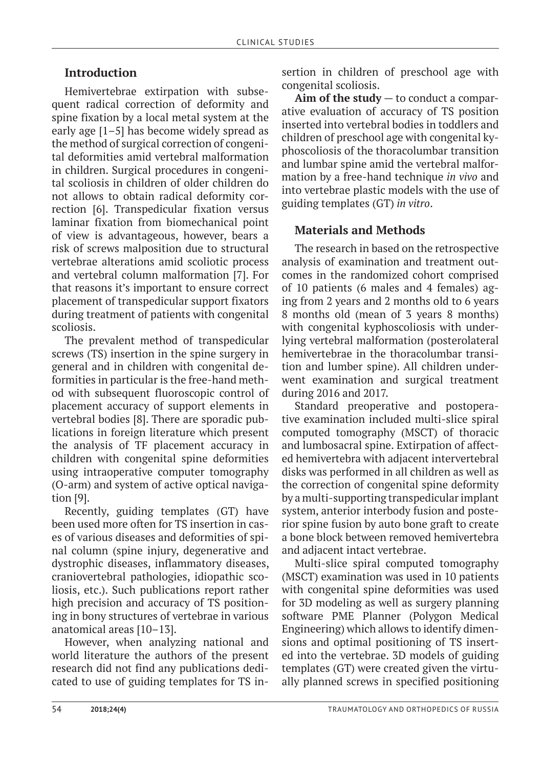## **Introduction**

Hemivertebrae extirpation with subsequent radical correction of deformity and spine fixation by a local metal system at the early age [1–5] has become widely spread as the method of surgical correction of congenital deformities amid vertebral malformation in children. Surgical procedures in congenital scoliosis in children of older children do not allows to obtain radical deformity correction [6]. Transpedicular fixation versus laminar fixation from biomechanical point of view is advantageous, however, bears a risk of screws malposition due to structural vertebrae alterations amid scoliotic process and vertebral column malformation [7]. For that reasons it's important to ensure correct placement of transpedicular support fixators during treatment of patients with congenital scoliosis.

The prevalent method of transpedicular screws (TS) insertion in the spine surgery in general and in children with congenital deformities in particular is the free-hand method with subsequent fluoroscopic control of placement accuracy of support elements in vertebral bodies [8]. There are sporadic publications in foreign literature which present the analysis of TF placement accuracy in children with congenital spine deformities using intraoperative computer tomography (O-arm) and system of active optical navigation [9].

Recently, guiding templates (GT) have been used more often for TS insertion in cases of various diseases and deformities of spinal column (spine injury, degenerative and dystrophic diseases, inflammatory diseases, craniovertebral pathologies, idiopathic scoliosis, etc.). Such publications report rather high precision and accuracy of TS positioning in bony structures of vertebrae in various anatomical areas [10–13].

However, when analyzing national and world literature the authors of the present research did not find any publications dedicated to use of guiding templates for TS insertion in children of preschool age with congenital scoliosis.

**Aim of the study** — to conduct a comparative evaluation of accuracy of TS position inserted into vertebral bodies in toddlers and children of preschool age with congenital kyphoscoliosis of the thoracolumbar transition and lumbar spine amid the vertebral malformation by a free-hand technique *in vivo* and into vertebrae plastic models with the use of guiding templates (GT) *in vitro*.

## **Materials and Methods**

The research in based on the retrospective analysis of examination and treatment outcomes in the randomized cohort comprised of 10 patients (6 males and 4 females) aging from 2 years and 2 months old to 6 years 8 months old (mean of 3 years 8 months) with congenital kyphoscoliosis with underlying vertebral malformation (posterolateral hemivertebrae in the thoracolumbar transition and lumber spine). All children underwent examination and surgical treatment during 2016 and 2017.

Standard preoperative and postoperative examination included multi-slice spiral computed tomography (MSCT) of thoracic and lumbosacral spine. Extirpation of affected hemivertebra with adjacent intervertebral disks was performed in all children as well as the correction of congenital spine deformity by a multi-supporting transpedicular implant system, anterior interbody fusion and posterior spine fusion by auto bone graft to create a bone block between removed hemivertebra and adjacent intact vertebrae.

Multi-slice spiral computed tomography (MSCT) examination was used in 10 patients with congenital spine deformities was used for 3D modeling as well as surgery planning software PME Planner (Polygon Medical Engineering) which allows to identify dimensions and optimal positioning of TS inserted into the vertebrae. 3D models of guiding templates (GT) were created given the virtually planned screws in specified positioning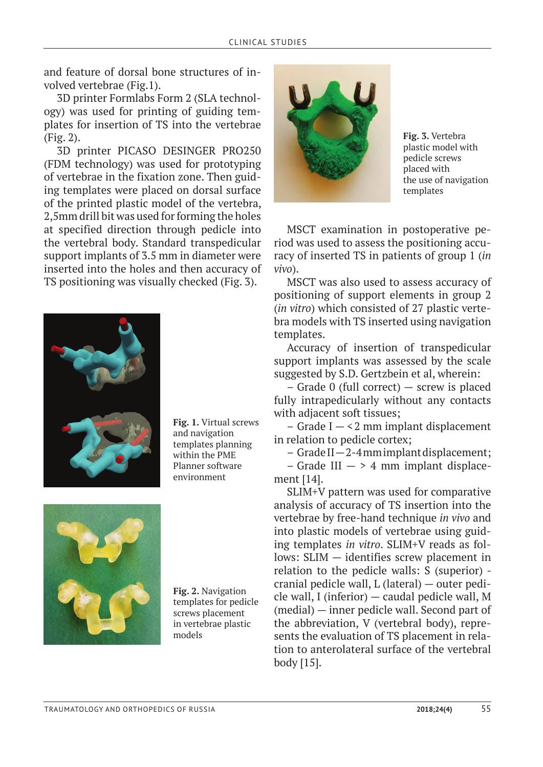and feature of dorsal bone structures of involved vertebrae (Fig.1).

3D printer Formlabs Form 2 (SLA technology) was used for printing of guiding templates for insertion of TS into the vertebrae (Fig. 2).

3D printer PICASO DESINGER PRO250 (FDM technology) was used for prototyping of vertebrae in the fixation zone. Then guiding templates were placed on dorsal surface of the printed plastic model of the vertebra, 2,5mm drill bit was used for forming the holes at specified direction through pedicle into the vertebral body. Standard transpedicular support implants of 3.5 mm in diameter were inserted into the holes and then accuracy of TS positioning was visually checked (Fig. 3).



**Fig. 1.** Virtual screws and navigation templates planning within the PME Planner software environment



**Fig. 2.** Navigation templates for pedicle screws placement in vertebrae plastic models



**Fig. 3.** Vertebra plastic model with pedicle screws placed with the use of navigation templates

MSCT examination in postoperative period was used to assess the positioning accuracy of inserted TS in patients of group 1 (*in vivo*).

MSCT was also used to assess accuracy of positioning of support elements in group 2 (*in vitro*) which consisted of 27 plastic vertebra models with TS inserted using navigation templates.

Accuracy of insertion of transpedicular support implants was assessed by the scale suggested by S.D. Gertzbein et al, wherein:

– Grade 0 (full correct) — screw is placed fully intrapedicularly without any contacts with adjacent soft tissues;

 $-$  Grade I  $-$  <2 mm implant displacement in relation to pedicle cortex;

– Grade II — 2-4 mm implant displacement;

– Grade III  $-$  > 4 mm implant displacement [14].

SLIM+V pattern was used for comparative analysis of accuracy of TS insertion into the vertebrae by free-hand technique *in vivo* and into plastic models of vertebrae using guiding templates *in vitro*. SLIM+V reads as follows: SLIM — identifies screw placement in relation to the pedicle walls: S (superior) cranial pedicle wall, L (lateral) — outer pedicle wall, I (inferior) — caudal pedicle wall, M (medial) — inner pedicle wall. Second part of the abbreviation, V (vertebral body), represents the evaluation of TS placement in relation to anterolateral surface of the vertebral body [15].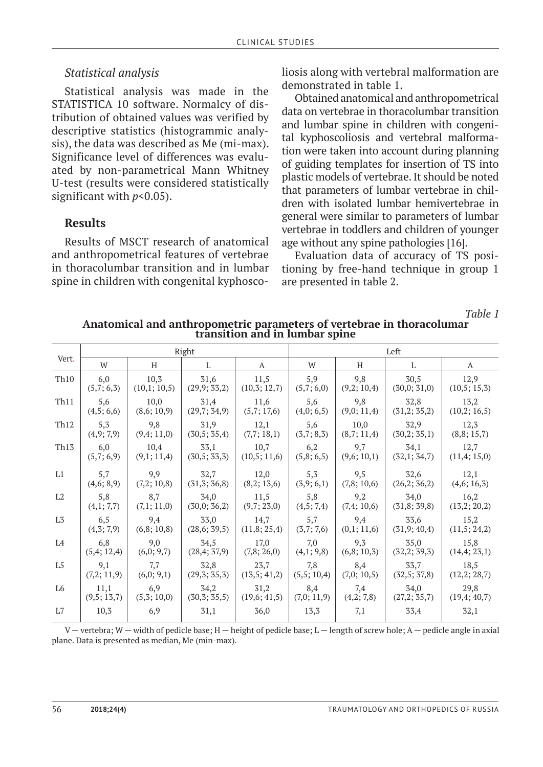### *Statistical analysis*

Statistical analysis was made in the STATISTICA 10 software. Normalcy of distribution of obtained values was verified by descriptive statistics (histogrammic analysis), the data was described as Me (mi-max). Significance level of differences was evaluated by non-parametrical Mann Whitney U-test (results were considered statistically significant with  $p$ <0.05).

## **Results**

Results of MSCT research of anatomical and anthropometrical features of vertebrae in thoracolumbar transition and in lumbar spine in children with congenital kyphoscoliosis along with vertebral malformation are demonstrated in table 1.

Obtained anatomical and anthropometrical data on vertebrae in thoracolumbar transition and lumbar spine in children with congenital kyphoscoliosis and vertebral malformation were taken into account during planning of guiding templates for insertion of TS into plastic models of vertebrae. It should be noted that parameters of lumbar vertebrae in children with isolated lumbar hemivertebrae in general were similar to parameters of lumbar vertebrae in toddlers and children of younger age without any spine pathologies [16].

Evaluation data of accuracy of TS positioning by free-hand technique in group 1 are presented in table 2.

*Table 1*

| Vert.            |            |             | Right        |              | Left       |            |              |              |  |  |
|------------------|------------|-------------|--------------|--------------|------------|------------|--------------|--------------|--|--|
|                  | W          | H           | L            | A            | W          | H          | L            | A            |  |  |
| Th <sub>10</sub> | 6,0        | 10,3        | 31,6         | 11,5         | 5,9        | 9,8        | 30,5         | 12,9         |  |  |
|                  | (5,7;6,3)  | (10,1;10,5) | (29,9; 33,2) | (10,3;12,7)  | (5,7;6,0)  | (9,2;10,4) | (30,0; 31,0) | (10,5; 15,3) |  |  |
| Th11             | 5,6        | 10,0        | 31,4         | 11,6         | 5,6        | 9,8        | 32,8         | 13,2         |  |  |
|                  | (4,5;6,6)  | (8,6;10,9)  | (29,7; 34,9) | (5,7;17,6)   | (4,0;6,5)  | (9,0;11,4) | (31,2; 35,2) | (10,2; 16,5) |  |  |
| Th <sub>12</sub> | 5,3        | 9,8         | 31,9         | 12,1         | 5,6        | 10,0       | 32,9         | 12,3         |  |  |
|                  | (4,9;7,9)  | (9,4;11,0)  | (30,5; 35,4) | (7,7; 18,1)  | (3,7; 8,3) | (8,7;11,4) | (30,2; 35,1) | (8,8;15,7)   |  |  |
| Th13             | 6,0        | 10,4        | 33,1         | 10,7         | 6,2        | 9,7        | 34,1         | 12,7         |  |  |
|                  | (5,7;6,9)  | (9,1;11,4)  | (30,5; 33,3) | (10,5; 11,6) | (5,8;6,5)  | (9,6;10,1) | (32,1; 34,7) | (11,4;15,0)  |  |  |
| L1               | 5,7        | 9,9         | 32,7         | 12,0         | 5, 3       | 9,5        | 32,6         | 12,1         |  |  |
|                  | (4,6; 8,9) | (7,2;10,8)  | (31,3;36,8)  | (8,2;13,6)   | (3,9;6,1)  | (7,8;10,6) | (26,2;36,2)  | (4,6; 16,3)  |  |  |
| L2               | 5,8        | 8,7         | 34,0         | 11,5         | 5,8        | 9,2        | 34,0         | 16,2         |  |  |
|                  | (4,1; 7,7) | (7,1;11,0)  | (30,0; 36,2) | (9,7; 23,0)  | (4,5; 7,4) | (7,4;10,6) | (31,8; 39,8) | (13,2; 20,2) |  |  |
| L3               | 6,5        | 9,4         | 33,0         | 14,7         | 5,7        | 9,4        | 33,6         | 15,2         |  |  |
|                  | (4,3;7,9)  | (6,8;10,8)  | (28,6; 39,5) | (11,8; 25,4) | (3,7;7,6)  | (0,1;11,6) | (31,9;40,4)  | (11,5; 24,2) |  |  |
| L4               | 6,8        | 9,0         | 34,5         | 17,0         | 7,0        | 9,3        | 35,0         | 15,8         |  |  |
|                  | (5,4;12,4) | (6,0; 9,7)  | (28,4; 37,9) | (7,8; 26,0)  | (4,1; 9,8) | (6,8;10,3) | (32,2; 39,3) | (14,4; 23,1) |  |  |
| L5               | 9,1        | 7,7         | 32,8         | 23,7         | 7,8        | 8,4        | 33,7         | 18,5         |  |  |
|                  | (7,2;11,9) | (6,0; 9,1)  | (29,3; 35,3) | (13,5; 41,2) | (5,5;10,4) | (7,0;10,5) | (32,5; 37,8) | (12,2; 28,7) |  |  |
| L <sub>6</sub>   | 11,1       | 6,9         | 34,2         | 31,2         | 8,4        | 7,4        | 34,0         | 29,8         |  |  |
|                  | (9,5;13,7) | (5,3;10,0)  | (30,3; 35,5) | (19,6; 41,5) | (7,0;11,9) | (4,2; 7,8) | (27,2; 35,7) | (19,4; 40,7) |  |  |
| L7               | 10,3       | 6,9         | 31,1         | 36,0         | 13,3       | 7,1        | 33,4         | 32,1         |  |  |

**Anatomical and anthropometric parameters of vertebrae in thoracolumar transition and in lumbar spine**

V — vertebra; W — width of pedicle base; H — height of pedicle base; L — length of screw hole; A — pedicle angle in axial plane. Data is presented as median, Me (min-max).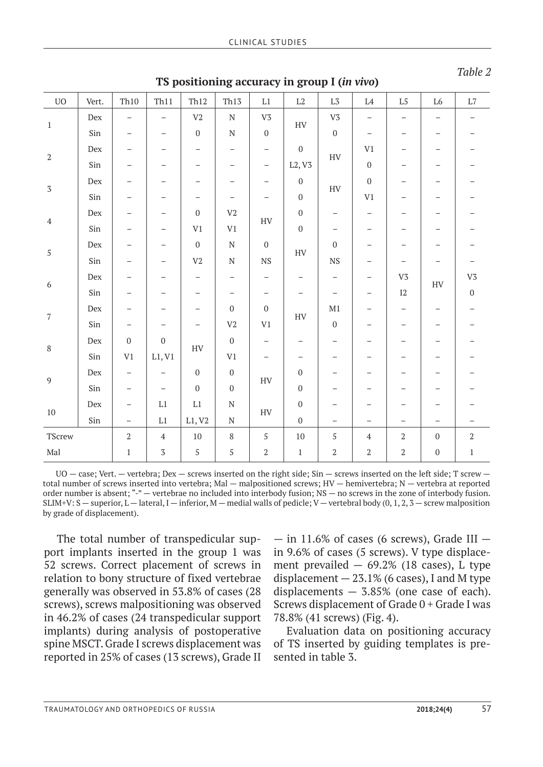| ${\rm UO}$       | Vert.             | Th10                     | Th11                     | Th12                     | Th13                     | $\mathop{\mathrm{L1}}$   | $\rm L2$                               | $\mathrm{L}3$            | $\operatorname{L4}$      | $\mathrm{L}5$                   | ${\rm L6}$               | $\rm L7$                 |
|------------------|-------------------|--------------------------|--------------------------|--------------------------|--------------------------|--------------------------|----------------------------------------|--------------------------|--------------------------|---------------------------------|--------------------------|--------------------------|
| $1\,$            | Dex               | $\qquad \qquad -$        | $\overline{\phantom{0}}$ | $\rm V2$                 | ${\bf N}$                | V <sub>3</sub>           | ${\rm HV}$                             | V <sub>3</sub>           | $\qquad \qquad -$        | $\qquad \qquad -$               | $\overline{\phantom{m}}$ | $\overline{\phantom{m}}$ |
|                  | Sin               | $\qquad \qquad -$        |                          | $\boldsymbol{0}$         | ${\bf N}$                | $\boldsymbol{0}$         |                                        | $\boldsymbol{0}$         | $\qquad \qquad -$        | $\hspace{0.1mm}-\hspace{0.1mm}$ | $\overline{\phantom{m}}$ | $\overline{\phantom{0}}$ |
| $\,2$            | $_{\mathrm{Dex}}$ | $\qquad \qquad -$        | $\overline{\phantom{0}}$ | $\qquad \qquad -$        | $\qquad \qquad -$        | $\qquad \qquad -$        | $\boldsymbol{0}$<br>L2, V3             | HV                       | V1                       | -                               | -                        |                          |
|                  | Sin               | -                        | -                        | $\overline{\phantom{0}}$ | $\overline{\phantom{m}}$ | $\qquad \qquad -$        |                                        |                          | $\boldsymbol{0}$         | $\qquad \qquad -$               | $\overline{\phantom{m}}$ |                          |
|                  | Dex               | -                        | —                        | -                        | $\overline{\phantom{m}}$ | $\qquad \qquad -$        | $\boldsymbol{0}$<br>$\boldsymbol{0}$   | HV                       | $\boldsymbol{0}$         | $\qquad \qquad -$               | —                        |                          |
| $\overline{3}$   | Sin               | $\qquad \qquad -$        | $\overline{\phantom{0}}$ | $\overline{\phantom{0}}$ | $\qquad \qquad -$        |                          |                                        |                          | $\mbox{V}1$              | $\qquad \qquad -$               | $\overline{\phantom{m}}$ |                          |
| $\sqrt{4}$       | Dex               | $\qquad \qquad -$        | -                        | $\boldsymbol{0}$         | V <sub>2</sub>           | ${\rm HV}$               | $\boldsymbol{0}$                       | $\overline{\phantom{0}}$ | $\overline{\phantom{m}}$ | $\overline{\phantom{m}}$        | $\qquad \qquad -$        |                          |
|                  | Sin               | -                        | $\qquad \qquad -$        | V1                       | V1                       |                          | $\mathbf 0$                            | $\qquad \qquad -$        | $\overline{\phantom{m}}$ | $\qquad \qquad -$               | $\overline{\phantom{m}}$ |                          |
| $\overline{5}$   | Dex               | -                        | $\qquad \qquad -$        | $\boldsymbol{0}$         | ${\rm N}$                | $\boldsymbol{0}$         | <b>HV</b><br>$_{\rm NS}$               | $\boldsymbol{0}$         | -                        | $\qquad \qquad -$               |                          |                          |
|                  | Sin               | $\qquad \qquad -$        | $\qquad \qquad -$        | $\rm V2$                 | ${\rm N}$                |                          |                                        | <b>NS</b>                | $\overline{\phantom{m}}$ | $\qquad \qquad -$               | $\qquad \qquad -$        | $\overline{\phantom{0}}$ |
| $\boldsymbol{6}$ | ${\rm Dev}$       | $\overline{\phantom{0}}$ | $\overline{\phantom{0}}$ | $\qquad \qquad -$        | $\bar{\phantom{0}}$      | $\qquad \qquad -$        | $\qquad \qquad -$<br>$\qquad \qquad -$ | $\qquad \qquad -$        | $\qquad \qquad -$        | ${\rm V}3$                      | ${\rm HV}$               | ${\rm V3}$               |
|                  | Sin               | $\overline{\phantom{0}}$ | $\qquad \qquad -$        | $\qquad \qquad -$        | $\qquad \qquad -$        | $\overline{\phantom{m}}$ |                                        | $\overline{\phantom{m}}$ | $\qquad \qquad -$        | $\rm I2$                        |                          | $\boldsymbol{0}$         |
| $\overline{7}$   | ${\rm Dev}$       | $\qquad \qquad -$        | $\qquad \qquad -$        | $\qquad \qquad -$        | $\boldsymbol{0}$         | $\boldsymbol{0}$         | HV                                     | M1                       | $\qquad \qquad -$        | $\qquad \qquad -$               | $\overline{\phantom{m}}$ |                          |
|                  | Sin               | $\qquad \qquad -$        | $\qquad \qquad -$        | $\qquad \qquad -$        | $\mbox{V2}$              | $\mbox{V1}$              |                                        | $\boldsymbol{0}$         | $\qquad \qquad -$        | $\qquad \qquad -$               | $\qquad \qquad -$        |                          |
| $\, 8$           | $_{\mathrm{Dex}}$ | $\boldsymbol{0}$         | $\boldsymbol{0}$         | ${\rm HV}$               | $\boldsymbol{0}$         | $\qquad \qquad -$        | $\overline{\phantom{m}}$               | $\overline{\phantom{m}}$ | $\overline{\phantom{m}}$ | $\qquad \qquad -$               |                          |                          |
|                  | Sin               | V1                       | L1, V1                   |                          | $\mbox{V}1$              | $\qquad \qquad -$        | $\overline{\phantom{m}}$               | $\qquad \qquad -$        | $\overline{\phantom{m}}$ | -                               | $\overline{\phantom{m}}$ |                          |
| $\overline{9}$   | ${\rm Dev}$       | $\overline{\phantom{a}}$ | $\overline{\phantom{0}}$ | $\boldsymbol{0}$         | $\boldsymbol{0}$         | HV                       | $\boldsymbol{0}$                       | $\qquad \qquad -$        | $\overline{\phantom{0}}$ | $\qquad \qquad -$               | $\overline{\phantom{m}}$ |                          |
|                  | Sin               | $\qquad \qquad -$        | $\overline{\phantom{m}}$ | $\mathbf{0}$             | $\boldsymbol{0}$         |                          | $\boldsymbol{0}$                       | $\qquad \qquad -$        | $\qquad \qquad -$        | $\qquad \qquad -$               |                          |                          |
| $10\,$           | $_{\mathrm{Dex}}$ | $\overline{\phantom{m}}$ | $\mathop{\mathrm{L1}}$   | $\rm L1$                 | ${\bf N}$                | ${\rm HV}$               | $\boldsymbol{0}$                       |                          | $\overline{\phantom{0}}$ | $\overline{\phantom{0}}$        |                          |                          |
|                  | Sin               | $\overline{\phantom{a}}$ | $\rm L1$                 | L1, V2                   | ${\bf N}$                |                          | $\mathbf{0}$                           | $\qquad \qquad -$        | $\overline{\phantom{m}}$ | $\qquad \qquad -$               | $\qquad \qquad -$        | $\overline{\phantom{0}}$ |
| TScrew           |                   | $\,2$                    | $\sqrt{4}$               | $10\,$                   | $\, 8$                   | $\mathbf{5}$             | 10                                     | 5                        | $\sqrt{4}$               | $\overline{2}$                  | $\boldsymbol{0}$         | $\,2$                    |
| Mal              |                   | $1\,$                    | $\overline{\mathbf{3}}$  | $\sqrt{5}$               | $\sqrt{5}$               | $\overline{2}$           | $\,1\,$                                | $\overline{2}$           | $\,2$                    | $\overline{2}$                  | $\boldsymbol{0}$         | $\,1\,$                  |

**TS positioning accuracy in group I (***in vivo***)**

*Table 2*

UO — case; Vert. — vertebra; Dex — screws inserted on the right side; Sin — screws inserted on the left side; T screw total number of screws inserted into vertebra; Mal — malpositioned screws; HV — hemivertebra; N — vertebra at reported order number is absent; "-" — vertebrae no included into interbody fusion; NS — no screws in the zone of interbody fusion. SLIM+V: S — superior, L — lateral, I — inferior, M — medial walls of pedicle; V — vertebral body (0, 1, 2, 3 — screw malposition by grade of displacement).

The total number of transpedicular support implants inserted in the group 1 was 52 screws. Correct placement of screws in relation to bony structure of fixed vertebrae generally was observed in 53.8% of cases (28 screws), screws malpositioning was observed in 46.2% of cases (24 transpedicular support implants) during analysis of postoperative spine MSCT. Grade I screws displacement was reported in 25% of cases (13 screws), Grade II

 $-$  in 11.6% of cases (6 screws), Grade III  $$ in 9.6% of cases (5 screws). V type displacement prevailed  $-69.2\%$  (18 cases), L type displacement  $-23.1\%$  (6 cases), I and M type displacements  $-$  3.85% (one case of each). Screws displacement of Grade 0 + Grade I was 78.8% (41 screws) (Fig. 4).

Evaluation data on positioning accuracy of TS inserted by guiding templates is presented in table 3.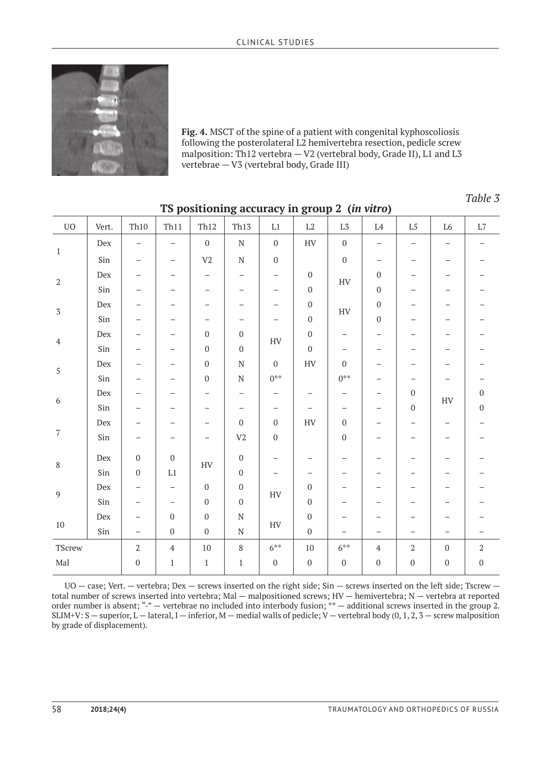

**Fig. 4.** MSCT of the spine of a patient with congenital kyphoscoliosis following the posterolateral L2 hemivertebra resection, pedicle screw malposition: Th12 vertebra — V2 (vertebral body, Grade II), L1 and L3 vertebrae — V3 (vertebral body, Grade III)

*Table 3*

| ${\rm UO}$           | Vert.             | Th10              | Th11                     | Th12                     | Th13                     | $\rm L1$                 | $\rm L2$                             | L <sub>3</sub>                                | L4                       | $\mathrm{L}5$                   | L6                       | $\rm L7$                 |
|----------------------|-------------------|-------------------|--------------------------|--------------------------|--------------------------|--------------------------|--------------------------------------|-----------------------------------------------|--------------------------|---------------------------------|--------------------------|--------------------------|
| $1\,$                | ${\rm Dev}$       | $\qquad \qquad -$ | $\qquad \qquad -$        | $\boldsymbol{0}$         | ${\rm N}$                | $\boldsymbol{0}$         | ${\rm HV}$                           | $\boldsymbol{0}$                              | $\qquad \qquad -$        | $\qquad \qquad -$               | $\qquad \qquad -$        | $\overline{\phantom{m}}$ |
|                      | Sin               | $\qquad \qquad -$ | -                        | V <sub>2</sub>           | ${\bf N}$                | $\boldsymbol{0}$         |                                      | $\mathbf 0$                                   | $\overline{\phantom{m}}$ | $\overline{\phantom{m}}$        | $\qquad \qquad -$        |                          |
| $\,2$                | Dex               | —                 | $\qquad \qquad -$        | $\overline{\phantom{m}}$ | $\qquad \qquad -$        | —                        | $\boldsymbol{0}$                     | HV                                            | $\boldsymbol{0}$         | $\qquad \qquad -$               | $\overline{\phantom{0}}$ | $\overline{\phantom{0}}$ |
|                      | Sin               | —                 |                          | $\overline{\phantom{0}}$ | $\overline{\phantom{0}}$ | —                        | $\boldsymbol{0}$                     |                                               | $\boldsymbol{0}$         | $\overline{\phantom{0}}$        | $\overline{\phantom{0}}$ |                          |
| $\sqrt{3}$           | Dex               | -                 | -                        | $\overline{\phantom{0}}$ | $\overline{\phantom{0}}$ | $\overline{\phantom{0}}$ | $\boldsymbol{0}$<br>$\boldsymbol{0}$ | HV                                            | $\boldsymbol{0}$         | $\overline{\phantom{0}}$        | $\overline{\phantom{0}}$ |                          |
|                      | Sin               | -                 | $\overline{\phantom{0}}$ | -                        | -                        |                          |                                      |                                               | $\boldsymbol{0}$         | -                               |                          |                          |
| $\sqrt{4}$           | Dex               | -                 | $\overline{\phantom{0}}$ | $\boldsymbol{0}$         | $\boldsymbol{0}$         | ${\rm HV}$               | $\boldsymbol{0}$                     | $\overline{\phantom{m}}$                      | $\overline{\phantom{0}}$ | $\overline{\phantom{0}}$        | $\overline{\phantom{0}}$ |                          |
|                      | Sin               | -                 | $\qquad \qquad -$        | $\boldsymbol{0}$         | $\boldsymbol{0}$         |                          | $\mathbf{0}$                         | $\overline{\phantom{0}}$                      | -                        | -                               |                          |                          |
| $\sqrt{5}$           | Dex               | -                 | $\overline{\phantom{0}}$ | $\boldsymbol{0}$         | $\mathbf N$              | $\mathbf 0$              | ${\rm HV}$                           | $\mathbf{0}$                                  | $\overline{\phantom{0}}$ | $\overline{\phantom{0}}$        |                          |                          |
|                      | Sin               | $\qquad \qquad -$ | $\overline{\phantom{0}}$ | $\boldsymbol{0}$         | $\mathbf N$              | $0***$                   |                                      | $0^{**}$                                      | -                        | $\overline{\phantom{0}}$        |                          |                          |
| $\boldsymbol{6}$     | Dex               | -                 | -                        | -                        | -                        | —                        | $\overline{\phantom{m}}$             | $\overline{\phantom{m}}$<br>$\qquad \qquad -$ | $\boldsymbol{0}$         | ${\rm HV}$                      | $\boldsymbol{0}$         |                          |
|                      | Sin               | -                 | -                        | $\qquad \qquad -$        | $\overline{\phantom{m}}$ | $\overline{\phantom{m}}$ | $\overline{\phantom{m}}$             | $\qquad \qquad -$                             | $\overline{\phantom{m}}$ | $\boldsymbol{0}$                |                          | $\boldsymbol{0}$         |
| $\sqrt{7}$           | Dex               | -                 | -                        | $\overline{\phantom{0}}$ | $\boldsymbol{0}$         | $\boldsymbol{0}$         | <b>HV</b>                            | $\boldsymbol{0}$                              | -                        | -                               | $\qquad \qquad -$        | $\overline{\phantom{0}}$ |
|                      | Sin               | -                 | $\overline{\phantom{0}}$ | $\overline{\phantom{0}}$ | $\mbox{V2}$              | $\boldsymbol{0}$         |                                      | $\boldsymbol{0}$                              | $\overline{\phantom{0}}$ | $\qquad \qquad -$               | $\overline{\phantom{0}}$ | -                        |
| $\, 8$               | Dex               | $\boldsymbol{0}$  | $\boldsymbol{0}$         | HV                       | $\boldsymbol{0}$         | $\overline{\phantom{0}}$ |                                      | $\qquad \qquad -$                             | $\overline{\phantom{0}}$ | $\overbrace{\phantom{1232211}}$ |                          |                          |
|                      | Sin               | $\boldsymbol{0}$  | $\rm L1$                 |                          | $\boldsymbol{0}$         |                          | $\overline{\phantom{0}}$             | $\overline{\phantom{0}}$                      | -                        | $\overline{\phantom{0}}$        |                          |                          |
| 9                    | $_{\mathrm{Dex}}$ | -                 | $\qquad \qquad -$        | $\boldsymbol{0}$         | $\boldsymbol{0}$         | ${\rm HV}$               | $\mathbf{0}$                         | $\overline{\phantom{0}}$                      | -                        | $\overline{\phantom{0}}$        |                          |                          |
|                      | Sin               | -                 | $\qquad \qquad -$        | $\boldsymbol{0}$         | $\boldsymbol{0}$         |                          | $\boldsymbol{0}$                     | $\overline{\phantom{0}}$                      | $\overline{\phantom{0}}$ | -                               |                          |                          |
| $10\,$               | Dex               | $\qquad \qquad -$ | $\boldsymbol{0}$         | $\boldsymbol{0}$         | ${\bf N}$                | ${\rm HV}$               | $\boldsymbol{0}$                     |                                               |                          |                                 |                          |                          |
|                      | Sin               | $\qquad \qquad -$ | $\boldsymbol{0}$         | $\boldsymbol{0}$         | ${\bf N}$                |                          | $\boldsymbol{0}$                     |                                               | $\overline{\phantom{m}}$ | $\overline{\phantom{0}}$        | $\overline{\phantom{0}}$ | -                        |
| TScrew               |                   | $\,2$             | $\sqrt{4}$               | $10\,$                   | $\,8\,$                  | $6***$                   | $10\,$                               | $6***$                                        | $\sqrt{4}$               | $\,2$                           | $\boldsymbol{0}$         | $\overline{2}$           |
| $\operatorname{Mal}$ |                   | $\boldsymbol{0}$  | $\,1\,$                  | $\,1\,$                  | $\,1\,$                  | $\boldsymbol{0}$         | $\boldsymbol{0}$                     | $\boldsymbol{0}$                              | $\boldsymbol{0}$         | $\boldsymbol{0}$                | $\boldsymbol{0}$         | $\boldsymbol{0}$         |

### **TS positioning accuracy in group 2 (***in vitro***)**

UO — case; Vert. — vertebra; Dex — screws inserted on the right side; Sin — screws inserted on the left side; Tscrew total number of screws inserted into vertebra; Mal — malpositioned screws; HV — hemivertebra; N — vertebra at reported order number is absent; "-" — vertebrae no included into interbody fusion; \*\* — additional screws inserted in the group 2. SLIM+V: S — superior, L — lateral, I — inferior, M — medial walls of pedicle; V — vertebral body  $(0, 1, 2, 3$  — screw malposition by grade of displacement).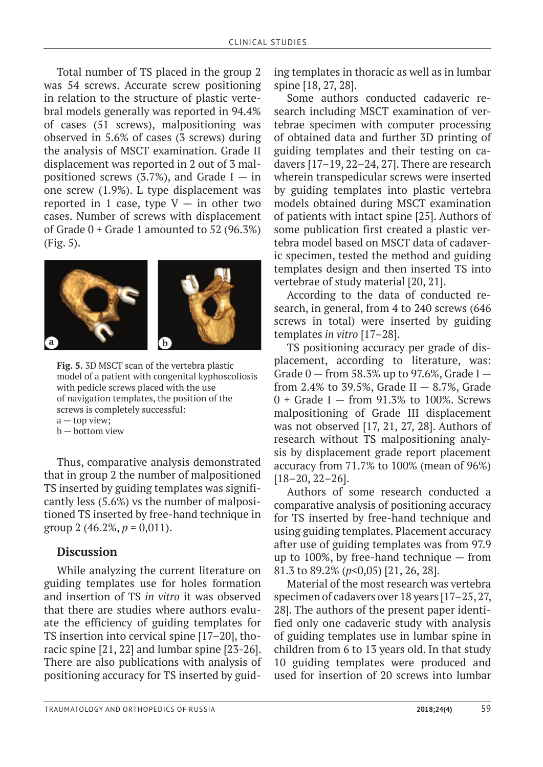Total number of TS placed in the group 2 was 54 screws. Accurate screw positioning in relation to the structure of plastic vertebral models generally was reported in 94.4% of cases (51 screws), malpositioning was observed in 5.6% of cases (3 screws) during the analysis of MSCT examination. Grade II displacement was reported in 2 out of 3 malpositioned screws (3.7%), and Grade I  $-$  in one screw (1.9%). L type displacement was reported in 1 case, type  $V - in$  other two cases. Number of screws with displacement of Grade  $0 +$  Grade 1 amounted to 52 (96.3%) (Fig. 5).



**Fig. 5.** 3D MSCT scan of the vertebra plastic model of a patient with congenital kyphoscoliosis with pedicle screws placed with the use of navigation templates, the position of the screws is completely successful:

 $a - top$  view;

b — bottom view

Thus, comparative analysis demonstrated that in group 2 the number of malpositioned TS inserted by guiding templates was significantly less (5.6%) vs the number of malpositioned TS inserted by free-hand technique in group 2 (46.2%,  $p = 0.011$ ).

### **Discussion**

While analyzing the current literature on guiding templates use for holes formation and insertion of TS *in vitro* it was observed that there are studies where authors evaluate the efficiency of guiding templates for TS insertion into cervical spine [17–20], thoracic spine [21, 22] and lumbar spine [23-26]. There are also publications with analysis of positioning accuracy for TS inserted by guid-

ing templates in thoracic as well as in lumbar spine [18, 27, 28].

Some authors conducted cadaveric research including MSCT examination of vertebrae specimen with computer processing of obtained data and further 3D printing of guiding templates and their testing on cadavers [17–19, 22–24, 27]. There are research wherein transpedicular screws were inserted by guiding templates into plastic vertebra models obtained during MSCT examination of patients with intact spine [25]. Authors of some publication first created a plastic vertebra model based on MSCT data of cadaveric specimen, tested the method and guiding templates design and then inserted TS into vertebrae of study material [20, 21].

According to the data of conducted research, in general, from 4 to 240 screws (646 screws in total) were inserted by guiding templates *in vitro* [17–28].

TS positioning accuracy per grade of displacement, according to literature, was: Grade  $0$  – from 58.3% up to 97.6%, Grade I – from 2.4% to 39.5%, Grade II  $-8.7$ %, Grade  $0 +$  Grade I – from 91.3% to 100%. Screws malpositioning of Grade III displacement was not observed [17, 21, 27, 28]. Authors of research without TS malpositioning analysis by displacement grade report placement accuracy from 71.7% to 100% (mean of 96%) [18–20, 22–26].

Authors of some research conducted a comparative analysis of positioning accuracy for TS inserted by free-hand technique and using guiding templates. Placement accuracy after use of guiding templates was from 97.9 up to 100%, by free-hand technique — from 81.3 to 89.2% (*p*<0,05) [21, 26, 28].

Material of the most research was vertebra specimen of cadavers over 18 years [17–25, 27, 28]. The authors of the present paper identified only one cadaveric study with analysis of guiding templates use in lumbar spine in children from 6 to 13 years old. In that study 10 guiding templates were produced and used for insertion of 20 screws into lumbar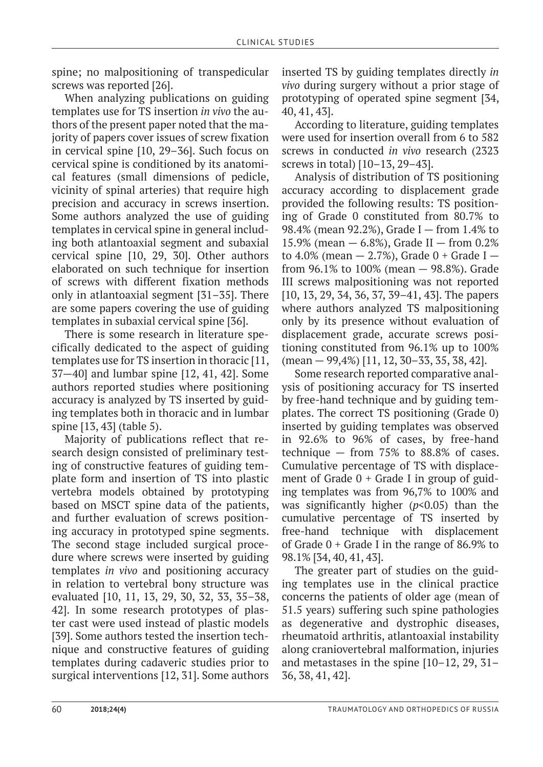spine; no malpositioning of transpedicular screws was reported [26].

When analyzing publications on guiding templates use for TS insertion *in vivo* the authors of the present paper noted that the majority of papers cover issues of screw fixation in cervical spine [10, 29–36]. Such focus on cervical spine is conditioned by its anatomical features (small dimensions of pedicle, vicinity of spinal arteries) that require high precision and accuracy in screws insertion. Some authors analyzed the use of guiding templates in cervical spine in general including both atlantoaxial segment and subaxial cervical spine [10, 29, 30]. Other authors elaborated on such technique for insertion of screws with different fixation methods only in atlantoaxial segment [31–35]. There are some papers covering the use of guiding templates in subaxial cervical spine [36].

There is some research in literature specifically dedicated to the aspect of guiding templates use for TS insertion in thoracic [11, 37—40] and lumbar spine [12, 41, 42]. Some authors reported studies where positioning accuracy is analyzed by TS inserted by guiding templates both in thoracic and in lumbar spine [13, 43] (table 5).

Majority of publications reflect that research design consisted of preliminary testing of constructive features of guiding template form and insertion of TS into plastic vertebra models obtained by prototyping based on MSCT spine data of the patients, and further evaluation of screws positioning accuracy in prototyped spine segments. The second stage included surgical procedure where screws were inserted by guiding templates *in vivo* and positioning accuracy in relation to vertebral bony structure was evaluated [10, 11, 13, 29, 30, 32, 33, 35–38, 42]. In some research prototypes of plaster cast were used instead of plastic models [39]. Some authors tested the insertion technique and constructive features of guiding templates during cadaveric studies prior to surgical interventions [12, 31]. Some authors inserted TS by guiding templates directly *in vivo* during surgery without a prior stage of prototyping of operated spine segment [34, 40, 41, 43].

According to literature, guiding templates were used for insertion overall from 6 to 582 screws in conducted *in vivo* research (2323 screws in total) [10–13, 29–43].

Analysis of distribution of TS positioning accuracy according to displacement grade provided the following results: TS positioning of Grade 0 constituted from 80.7% to 98.4% (mean 92.2%), Grade I — from 1.4% to 15.9% (mean  $-$  6.8%), Grade II  $-$  from 0.2% to 4.0% (mean  $-$  2.7%), Grade 0 + Grade I  $$ from 96.1% to 100% (mean — 98.8%). Grade III screws malpositioning was not reported [10, 13, 29, 34, 36, 37, 39–41, 43]. The papers where authors analyzed TS malpositioning only by its presence without evaluation of displacement grade, accurate screws positioning constituted from 96.1% up to 100% (mean — 99,4%) [11, 12, 30–33, 35, 38, 42].

Some research reported comparative analysis of positioning accuracy for TS inserted by free-hand technique and by guiding templates. The correct TS positioning (Grade 0) inserted by guiding templates was observed in 92.6% to 96% of cases, by free-hand technique — from 75% to 88.8% of cases. Cumulative percentage of TS with displacement of Grade  $0 +$  Grade I in group of guiding templates was from 96,7% to 100% and was significantly higher (*p*<0.05) than the cumulative percentage of TS inserted by free-hand technique with displacement of Grade  $0 +$  Grade I in the range of 86.9% to 98.1% [34, 40, 41, 43].

The greater part of studies on the guiding templates use in the clinical practice concerns the patients of older age (mean of 51.5 years) suffering such spine pathologies as degenerative and dystrophic diseases, rheumatoid arthritis, atlantoaxial instability along craniovertebral malformation, injuries and metastases in the spine [10–12, 29, 31– 36, 38, 41, 42].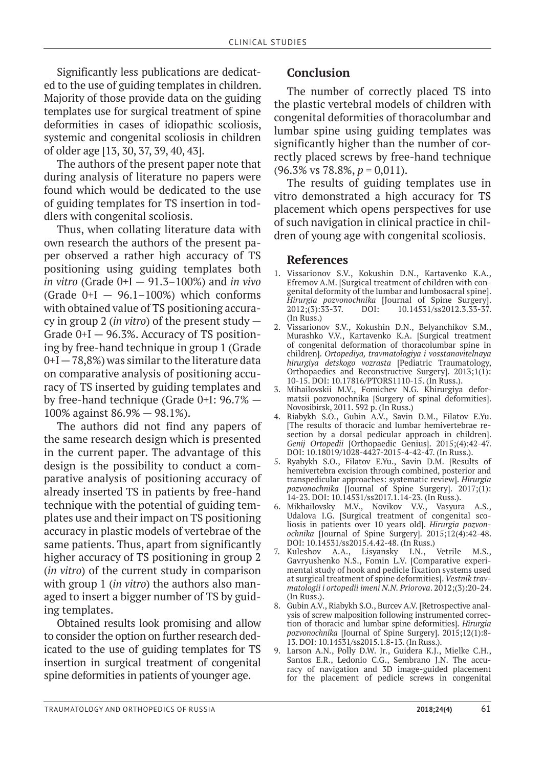Significantly less publications are dedicated to the use of guiding templates in children. Majority of those provide data on the guiding templates use for surgical treatment of spine deformities in cases of idiopathic scoliosis, systemic and congenital scoliosis in children of older age [13, 30, 37, 39, 40, 43].

The authors of the present paper note that during analysis of literature no papers were found which would be dedicated to the use of guiding templates for TS insertion in toddlers with congenital scoliosis.

Thus, when collating literature data with own research the authors of the present paper observed a rather high accuracy of TS positioning using guiding templates both *in vitro* (Grade 0+I — 91.3–100%) and *in vivo* (Grade  $0+I - 96.1-100%$ ) which conforms with obtained value of TS positioning accuracy in group 2 (*in vitro*) of the present study — Grade  $0+I - 96.3\%$ . Accuracy of TS positioning by free-hand technique in group 1 (Grade  $0+I-78,8%$  was similar to the literature data on comparative analysis of positioning accuracy of TS inserted by guiding templates and by free-hand technique (Grade 0+I: 96.7% — 100% against 86.9% — 98.1%).

The authors did not find any papers of the same research design which is presented in the current paper. The advantage of this design is the possibility to conduct a comparative analysis of positioning accuracy of already inserted TS in patients by free-hand technique with the potential of guiding templates use and their impact on TS positioning accuracy in plastic models of vertebrae of the same patients. Thus, apart from significantly higher accuracy of TS positioning in group 2 (*in vitro*) of the current study in comparison with group 1 (*in vitro*) the authors also managed to insert a bigger number of TS by guiding templates.

Obtained results look promising and allow to consider the option on further research dedicated to the use of guiding templates for TS insertion in surgical treatment of congenital spine deformities in patients of younger age.

## **Conclusion**

The number of correctly placed TS into the plastic vertebral models of children with congenital deformities of thoracolumbar and lumbar spine using guiding templates was significantly higher than the number of correctly placed screws by free-hand technique (96.3% vs 78.8%, *p* = 0,011).

The results of guiding templates use in vitro demonstrated a high accuracy for TS placement which opens perspectives for use of such navigation in clinical practice in children of young age with congenital scoliosis.

### **References**

- 1. Vissarionov S.V., Kokushin D.N., Kartavenko K.A., Efremov A.M. [Surgical treatment of children with congenital deformity of the lumbar and lumbosacral spine]. *Hirurgia pozvonochnika* [Journal of Spine Surgery].  $10.14531/\text{s}$ s2012.3.33-37. (In Russ.)
- 2. Vissarionov S.V., Kokushin D.N., Belyanchikov S.M., Murashko V.V., Kartavenko K.A. [Surgical treatment of congenital deformation of thoracolumbar spine in children]. *Ortopediya, travmatologiya i vosstanovitelnaya hirurgiya detskogo vozrasta* [Pediatric Traumatology, Orthopaedics and Reconstructive Surgery]. 2013;1(1): 10-15. DOI: 10.17816/PTORS1110-15. (In Russ.).
- 3. Mihailovskii M.V., Fomichev N.G. Khirurgiya deformatsii pozvonochnika [Surgery of spinal deformities]. Novosibirsk, 2011. 592 p. (In Russ.)
- 4. Riabykh S.O., Gubin A.V., Savin D.M., Filatov E.Yu. [The results of thoracic and lumbar hemivertebrae resection by a dorsal pedicular approach in children]. *Genij Ortopedii* [Orthopaedic Genius]. 2015;(4):42-47. DOI: 10.18019/1028-4427-2015-4-42-47. (In Russ.).
- 5. Ryabykh S.O., Filatov E.Yu., Savin D.M. [Results of hemivertebra excision through combined, posterior and transpedicular approaches: systematic review]. *Hirurgia pozvonochnika* [Journal of Spine Surgery]. 2017;(1): 14-23. DOI: 10.14531/ss2017.1.14-23. (In Russ.).
- 6. Mikhailovsky M.V., Novikov V.V., Vasyura A.S., Udalova I.G. [Surgical treatment of congenital scoliosis in patients over 10 years old]. *Hirurgia pozvonochnika* [Journal of Spine Surgery]. 2015;12(4):42-48. **DOI: 10.14531/ss2015.4.42-48. (In Russ.)**<br>Kuleshov A.A., Lisyansky I.N., Vetrile M.S.,
- 7. Kuleshov A.A., Lisyansky I.N., Vetrile M.S., Gavryushenko N.S., Fomin L.V. [Comparative experimental study of hook and pedicle fixation systems used at surgical treatment of spine deformities]. *Vestnik travmatologii i ortopedii imeni N.N. Priorova*. 2012;(3):20-24. (In Russ.).
- 8. Gubin A.V., Riabykh S.O., Burcev A.V. [Retrospective analysis of screw malposition following instrumented correction of thoracic and lumbar spine deformities]. *Hirurgia pozvonochnika* [Journal of Spine Surgery]. 2015;12(1):8- 13. DOI: 10.14531/ss2015.1.8-13. (In Russ.).
- 9. Larson A.N., Polly D.W. Jr., Guidera K.J., Mielke C.H., Santos E.R., Ledonio C.G., Sembrano J.N. The accuracy of navigation and 3D image-guided placement for the placement of pedicle screws in congenital

Traumatology and orthopedics of Russia **2018;24(4)** 61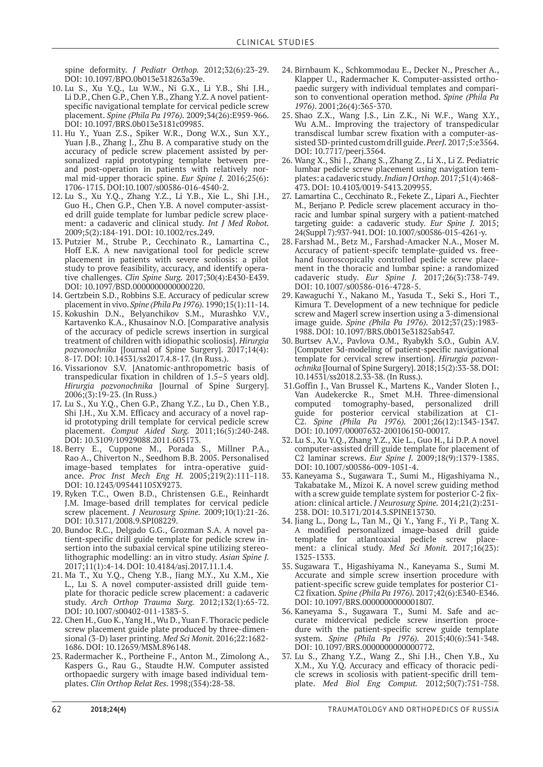spine deformity. *J Pediatr Orthop.* 2012;32(6):23-29. DOI: 10.1097/BPO.0b013e318263a39e.

- 10. Lu S., Xu Y.Q., Lu W.W., Ni G.X., Li Y.B., Shi J.H., Li D.P., Chen G.P., Chen Y.B., Zhang Y.Z. A novel patientspecific navigational template for cervical pedicle screw placement. *Spine (Phila Pa 1976).* 2009;34(26):E959-966. DOI: 10.1097/BRS.0b013e3181c09985.
- 11. Hu Y., Yuan Z.S., Spiker W.R., Dong W.X., Sun X.Y., Yuan J.B., Zhang J., Zhu B. A comparative study on the accuracy of pedicle screw placement assisted by personalized rapid prototyping template between preand post-operation in patients with relatively normal mid-upper thoracic spine. *Eur Spine J.* 2016;25(6): 1706-1715. DOI:10.1007/s00586-016-4540-2.
- 12. Lu S., Xu Y.Q., Zhang Y.Z., Li Y.B., Xie L., Shi J.H., Guo H., Chen G.P., Chen Y.B. A novel computer-assisted drill guide template for lumbar pedicle screw placement: a cadaveric and clinical study. *Int J Med Robot.*  2009;5(2):184-191. DOI: 10.1002/rcs.249.
- 13. Putzier M., Strube P., Cecchinato R., Lamartina C., Hoff E.K. A new navigational tool for pedicle screw placement in patients with severe scoliosis: a pilot study to prove feasibility, accuracy, and identify operative challenges. *Clin Spine Surg.* 2017;30(4):E430-E439. DOI: 10.1097/BSD.0000000000000220.
- 14. Gertzbein S.D., Robbins S.E. Accuracy of pedicular screw placement in vivo. *Spine (Phila Pa 1976).* 1990;15(1):11-14.
- 15. Kokushin D.N., Belyanchikov S.M., Murashko V.V., Kartavenko K.A., Khusainov N.O. [Comparative analysis of the accuracy of pedicle screws insertion in surgical treatment of children with idiopathic scoliosis]. *Hirurgia pozvonochnika* [Journal of Spine Surgery]. 2017;14(4): 8-17. DOI: 10.14531/ss2017.4.8-17. (In Russ.).
- 16. Vissarionov S.V. [Anatomic-anthropometric basis of transpedicular fixation in children of 1.5–5 years old]. *Hirurgia pozvonochnika* [Journal of Spine Surgery]. 2006;(3):19-23. (In Russ.)
- 17. Lu S., Xu Y.Q., Chen G.P., Zhang Y.Z., Lu D., Chen Y.B., Shi J.H., Xu X.M. Efficacy and accuracy of a novel rapid prototyping drill template for cervical pedicle screw placement. *Comput Aided Surg.* 2011;16(5):240-248. DOI: 10.3109/10929088.2011.605173.
- 18. Berry E., Cuppone M., Porada S., Millner P.A., Rao A., Chiverton N., Seedhom B.B. 2005. Personalised image-based templates for intra-operative guidance. *Proc Inst Mech Eng H.* 2005;219(2):111-118. DOI: 10.1243/095441105X9273.
- 19. Ryken T.C., Owen B.D., Christensen G.E., Reinhardt J.M. Image-based drill templates for cervical pedicle screw placement. *J Neurosurg Spine.* 2009;10(1):21-26. DOI: 10.3171/2008.9.SPI08229.
- 20. Bundoc R.C., Delgado G.G., Grozman S.A. A novel patient-specific drill guide template for pedicle screw insertion into the subaxial cervical spine utilizing stereolithographic modelling: an in vitro study. *Asian Spine J.*  2017;11(1):4-14. DOI: 10.4184/asj.2017.11.1.4.
- 21. Ma T., Xu Y.Q., Cheng Y.B., Jiang M.Y., Xu X.M., Xie L., Lu S. A novel computer-assisted drill guide template for thoracic pedicle screw placement: a cadaveric study. *Arch Orthop Trauma Surg.* 2012;132(1):65-72. DOI: 10.1007/s00402-011-1383-5.
- 22. Chen H., Guo K., Yang H., Wu D., Yuan F. Thoracic pedicle screw placement guide plate produced by three-dimensional (3-D) laser printing. *Med Sci Monit.* 2016;22:1682- 1686. DOI: 10.12659/MSM.896148.
- 23. Radermacher K., Portheine F., Anton M., Zimolong A., Kaspers G., Rau G., Staudte H.W. Computer assisted orthopaedic surgery with image based individual templates. *Clin Orthop Relat Res.* 1998;(354):28-38.
- 24. Birnbaum K., Schkommodau E., Decker N., Prescher A., Klapper U., Radermacher K. Computer-assisted orthopaedic surgery with individual templates and comparison to conventional operation method. *Spine (Phila Pa 1976)*. 2001;26(4):365-370.
- 25. Shao Z.X., Wang J.S., Lin Z.K., Ni W.F., Wang X.Y., Wu A.M.. Improving the trajectory of transpedicular transdiscal lumbar screw fixation with a computer-assisted 3D-printed custom drill guide. *PeerJ.* 2017;5:e3564. DOI: 10.7717/peerj.3564.
- 26. Wang X., Shi J., Zhang S., Zhang Z., Li X., Li Z. Pediatric lumbar pedicle screw placement using navigation templates: a cadaveric study. *Indian J Orthop.* 2017;51(4):468- 473. DOI: 10.4103/0019-5413.209955.
- 27. Lamartina C., Cecchinato R., Fekete Z., Lipari A., Fiechter M., Berjano P. Pedicle screw placement accuracy in thoracic and lumbar spinal surgery with a patient-matched targeting guide: a cadaveric study. *Eur Spine J.* 2015; 24(Suppl 7):937-941. DOI: 10.1007/s00586-015-4261-y.
- 28. Farshad M., Betz M., Farshad-Amacker N.A., Moser M. Accuracy of patient-specifc template-guided vs. freehand fuoroscopically controlled pedicle screw placement in the thoracic and lumbar spine: a randomized cadaveric study. *Eur Spine J.* 2017;26(3):738-749. DOI: 10.1007/s00586-016-4728-5.
- 29. Kawaguchi Y., Nakano M., Yasuda T., Seki S., Hori T., Kimura T. Development of a new technique for pedicle screw and Magerl screw insertion using a 3-dimensional image guide. *Spine (Phila Pa 1976).* 2012;37(23):1983- 1988. DOI: 10.1097/BRS.0b013e31825ab547.
- 30. Burtsev A.V., Pavlova O.M., Ryabykh S.O., Gubin A.V. [Computer 3d-modeling of patient-specific navigational template for cervical screw insertion]. *Hirurgia pozvonochnika* [Journal of Spine Surgery]. 2018;15(2):33-38. DOI: 10.14531/ss2018.2.33-38. (In Russ.).
- 31.Goffin J., Van Brussel K., Martens K., Vander Sloten J., Van Audekercke R., Smet M.H. Three-dimensional tomography-based, personalized drill guide for posterior cervical stabilization at C1- C2. *Spine (Phila Pa 1976).* 2001;26(12):1343-1347. DOI: 10.1097/00007632-200106150-00017.
- 32. Lu S., Xu Y.Q., Zhang Y.Z., Xie L., Guo H., Li D.P. A novel computer-assisted drill guide template for placement of C2 laminar screws. *Eur Spine J.* 2009;18(9):1379-1385. DOI: 10.1007/s00586-009-1051-4.
- 33. Kaneyama S., Sugawara T., Sumi M., Higashiyama N., Takabatake M., Mizoi K. A novel screw guiding method with a screw guide template system for posterior C-2 fixation: clinical article. *J Neurosurg Spine.* 2014;21(2):231- 238. DOI: 10.3171/2014.3.SPINE13730.
- 34. Jiang L., Dong L., Tan M., Qi Y., Yang F., Yi P., Tang X. A modified personalized image-based drill guide template for atlantoaxial pedicle screw placement: a clinical study. *Med Sci Monit.* 2017;16(23): 1325-1333.
- 35. Sugawara T., Higashiyama N., Kaneyama S., Sumi M. Accurate and simple screw insertion procedure with patient-specific screw guide templates for posterior C1- C2 fixation*. Spine (Phila Pa 1976).* 2017;42(6):E340-E346. DOI: 10.1097/BRS.0000000000001807.
- 36. Kaneyama S., Sugawara T., Sumi M. Safe and accurate midcervical pedicle screw insertion procedure with the patient-specific screw guide template system. *Spine (Phila Pa 1976).* 2015;40(6):341-348. DOI: 10.1097/BRS.0000000000000772.
- 37. Lu S., Zhang Y.Z., Wang Z., Shi J.H., Chen Y.B., Xu X.M., Xu Y.Q. Accuracy and efficacy of thoracic pedicle screws in scoliosis with patient-specific drill template. *Med Biol Eng Comput.* 2012;50(7):751-758.